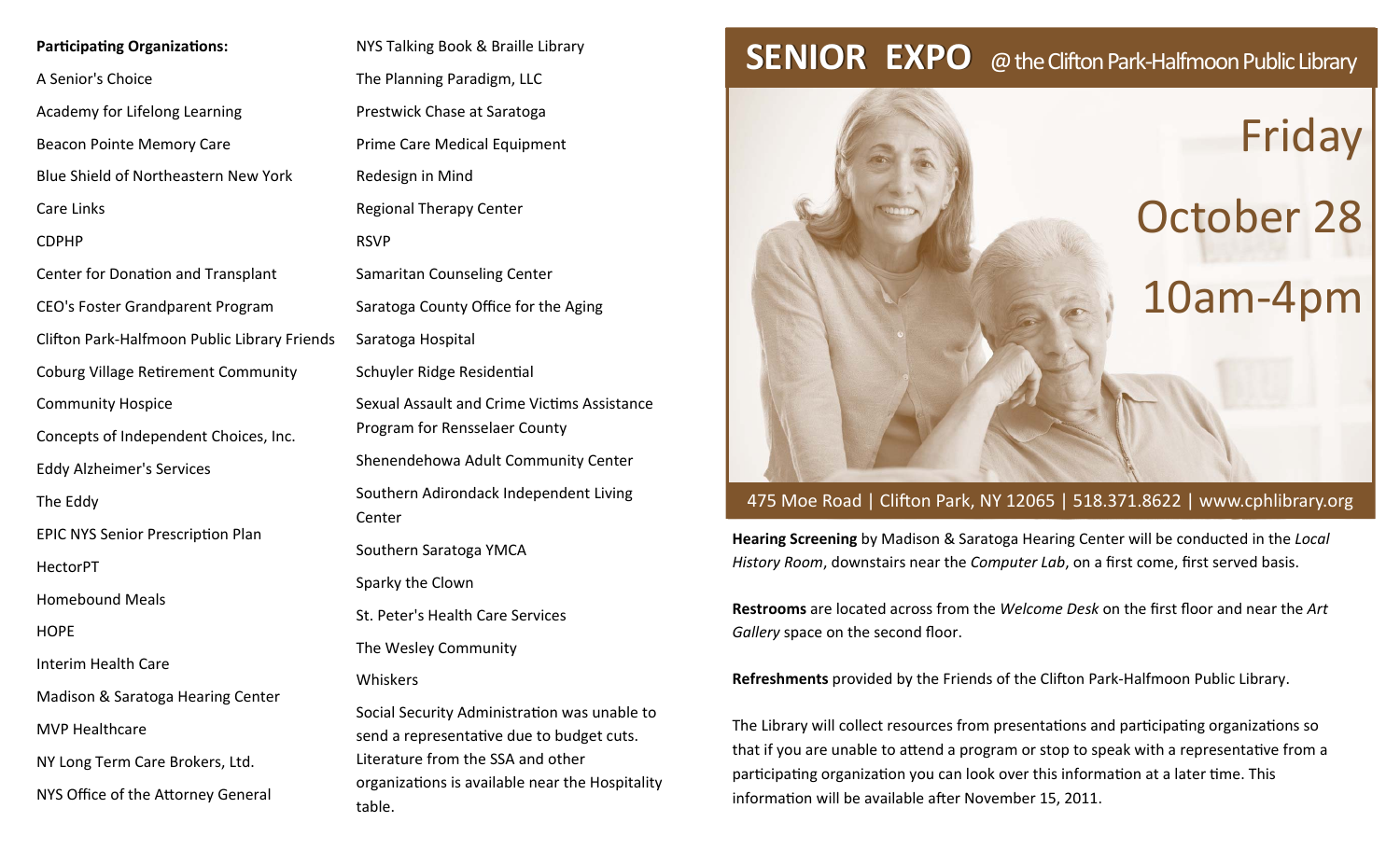## **Participating Organizations:**

A Senior's Choice

Academy for Lifelong Learning

Beacon Pointe Memory Care

Blue Shield of Northeastern New York

Care Links

CDPHP

Center for Donation and Transplant

CEO's Foster Grandparent Program

Clifton Park‐Halfmoon Public Library Friends

Coburg Village Retirement Community

Community Hospice

Concepts of Independent Choices, Inc.

Eddy Alzheimer's Services

The Eddy

EPIC NYS Senior Prescription Plan

HectorPT

Homebound Meals

**HOPE** 

Interim Health Care

Madison & Saratoga Hearing Center

MVP Healthcare

NY Long Term Care Brokers, Ltd.

NYS Office of the AƩorney General

NYS Talking Book & Braille Library The Planning Paradigm, LLC Prestwick Chase at Saratoga Prime Care Medical Equipment Redesign in Mind Regional Therapy Center RSVPSamaritan Counseling Center Saratoga County Office for the Aging Saratoga Hospital Schuyler Ridge Residential Sexual Assault and Crime VicƟms Assistance Program for Rensselaer County Shenendehowa Adult Community Center Southern Adirondack Independent Living CenterSouthern Saratoga YMCA Sparky the Clown St. Peter's Health Care Services The Wesley Community WhiskersSocial Security Administration was unable to send <sup>a</sup> representaƟve due to budget cuts.

Literature from the SSA and other organizations is available near the Hospitality table.

## **SENIOR EXPO** @ the Clifton Park-Halfmoon Public Library



## 475 Moe Road | Clifton Park, NY 12065 | 518.371.8622 | www.cphlibrary.org

**Hearing Screening** by Madison & Saratoga Hearing Center will be conducted in the *Local History Room*, downstairs near the *Computer Lab*, on <sup>a</sup> first come, first served basis.

**Restrooms** are located across from the *Welcome Desk* on the first floor and near the *Art Gallery* space on the second floor.

**Refreshments** provided by the Friends of the Clifton Park-Halfmoon Public Library.

The Library will collect resources from presentations and participating organizations so that if you are unable to attend a program or stop to speak with a representative from a participating organization you can look over this information at a later time. This information will be available after November 15, 2011.